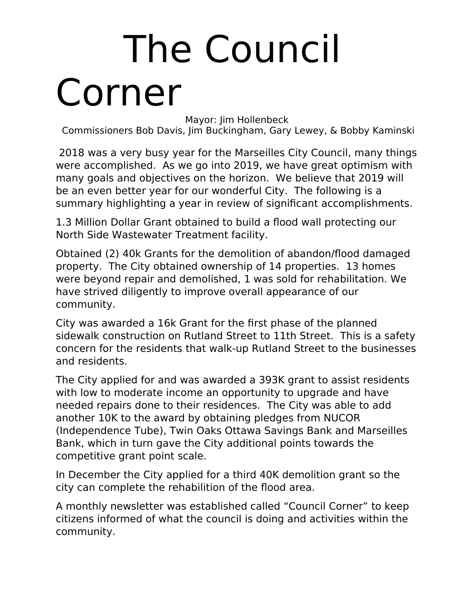## The Council Corner

Mayor: Jim Hollenbeck

Commissioners Bob Davis, Jim Buckingham, Gary Lewey, & Bobby Kaminski

 2018 was a very busy year for the Marseilles City Council, many things were accomplished. As we go into 2019, we have great optimism with many goals and objectives on the horizon. We believe that 2019 will be an even better year for our wonderful City. The following is a summary highlighting a year in review of significant accomplishments.

1.3 Million Dollar Grant obtained to build a flood wall protecting our North Side Wastewater Treatment facility.

Obtained (2) 40k Grants for the demolition of abandon/flood damaged property. The City obtained ownership of 14 properties. 13 homes were beyond repair and demolished, 1 was sold for rehabilitation. We have strived diligently to improve overall appearance of our community.

City was awarded a 16k Grant for the first phase of the planned sidewalk construction on Rutland Street to 11th Street. This is a safety concern for the residents that walk-up Rutland Street to the businesses and residents.

The City applied for and was awarded a 393K grant to assist residents with low to moderate income an opportunity to upgrade and have needed repairs done to their residences. The City was able to add another 10K to the award by obtaining pledges from NUCOR (Independence Tube), Twin Oaks Ottawa Savings Bank and Marseilles Bank, which in turn gave the City additional points towards the competitive grant point scale.

In December the City applied for a third 40K demolition grant so the city can complete the rehabilition of the flood area.

A monthly newsletter was established called "Council Corner" to keep citizens informed of what the council is doing and activities within the community.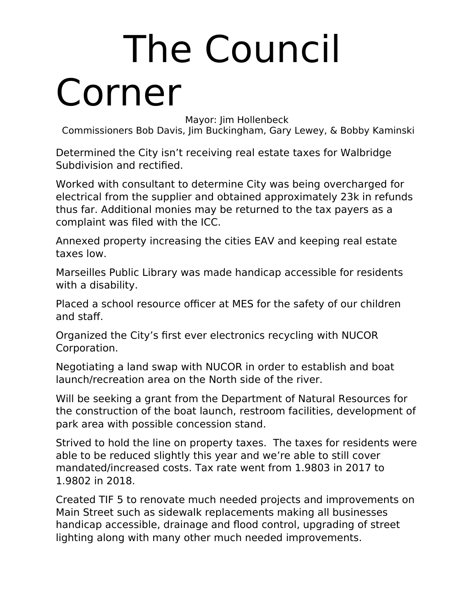## The Council Corner

Mayor: Jim Hollenbeck

Commissioners Bob Davis, Jim Buckingham, Gary Lewey, & Bobby Kaminski

Determined the City isn't receiving real estate taxes for Walbridge Subdivision and rectified.

Worked with consultant to determine City was being overcharged for electrical from the supplier and obtained approximately 23k in refunds thus far. Additional monies may be returned to the tax payers as a complaint was filed with the ICC.

Annexed property increasing the cities EAV and keeping real estate taxes low.

Marseilles Public Library was made handicap accessible for residents with a disability.

Placed a school resource officer at MES for the safety of our children and staff.

Organized the City's first ever electronics recycling with NUCOR Corporation.

Negotiating a land swap with NUCOR in order to establish and boat launch/recreation area on the North side of the river.

Will be seeking a grant from the Department of Natural Resources for the construction of the boat launch, restroom facilities, development of park area with possible concession stand.

Strived to hold the line on property taxes. The taxes for residents were able to be reduced slightly this year and we're able to still cover mandated/increased costs. Tax rate went from 1.9803 in 2017 to 1.9802 in 2018.

Created TIF 5 to renovate much needed projects and improvements on Main Street such as sidewalk replacements making all businesses handicap accessible, drainage and flood control, upgrading of street lighting along with many other much needed improvements.